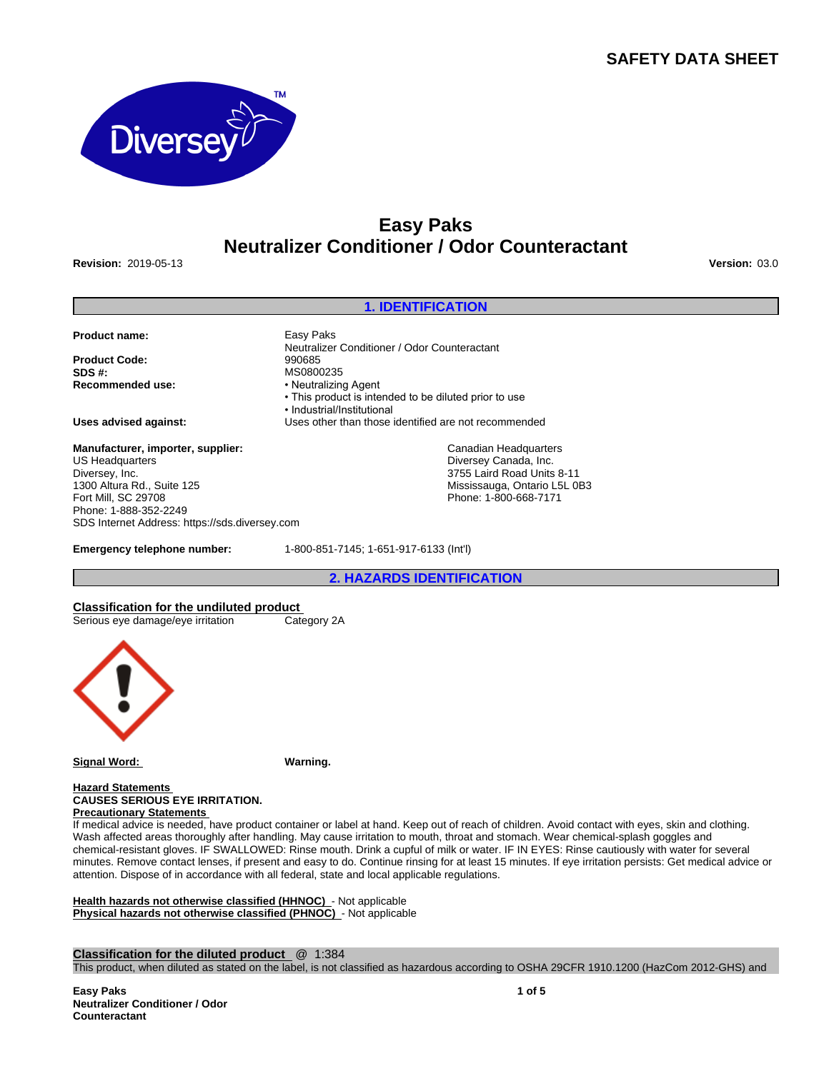# **SAFETY DATA SHEET**



# **Easy Paks Neutralizer Conditioner / Odor Counteractant**

**Revision:** 2019-05-13 **Version:** 03.0

## **1. IDENTIFICATION**

Neutralizer Conditioner / Odor Counteractant

• This product is intended to be diluted prior to use

• Neutralizing Agent

•Industrial/Institutional

**Product name:** Easy Paks

**Product Code:** 990685<br>**SDS #:** MS0800 **SDS #:**<br> **Recommended use:**<br> **Recommended use:**<br> **example:**<br> **example:**<br> **example:**<br> **example:** 

**Uses advised against:** Uses other than those identified are not recommended

**Manufacturer, importer, supplier:** US Headquarters Diversey, Inc. 1300 Altura Rd., Suite 125 Fort Mill, SC 29708 Phone: 1-888-352-2249 SDS Internet Address: https://sds.diversey.com

**Emergency telephone number:** 1-800-851-7145; 1-651-917-6133 (Int'l)

**2. HAZARDS IDENTIFICATION**

Canadian Headquarters Diversey Canada, Inc. 3755 Laird Road Units 8-11 Mississauga, Ontario L5L 0B3 Phone: 1-800-668-7171

**Classification for the undiluted product** Serious eye damage/eye irritation



**Signal Word: Warning.**

**Hazard Statements CAUSES SERIOUS EYE IRRITATION. Precautionary Statements** 

If medical advice is needed, have product container or label at hand. Keep out of reach of children. Avoid contact with eyes, skin and clothing. Wash affected areas thoroughly after handling. May cause irritation to mouth, throat and stomach. Wear chemical-splash goggles and chemical-resistant gloves. IF SWALLOWED: Rinse mouth. Drink a cupful of milk or water. IF IN EYES: Rinse cautiously with water for several minutes. Remove contact lenses, if present and easy to do. Continue rinsing for at least 15 minutes. If eye irritation persists: Get medical advice or attention. Dispose of in accordance with all federal, state and local applicable regulations.

**Health hazards not otherwise classified (HHNOC)** - Not applicable **Physical hazards not otherwise classified (PHNOC)** - Not applicable

**Classification for the diluted product** @ 1:384

This product, when diluted as stated on the label, is not classified as hazardous according to OSHA 29CFR 1910.1200 (HazCom 2012-GHS) and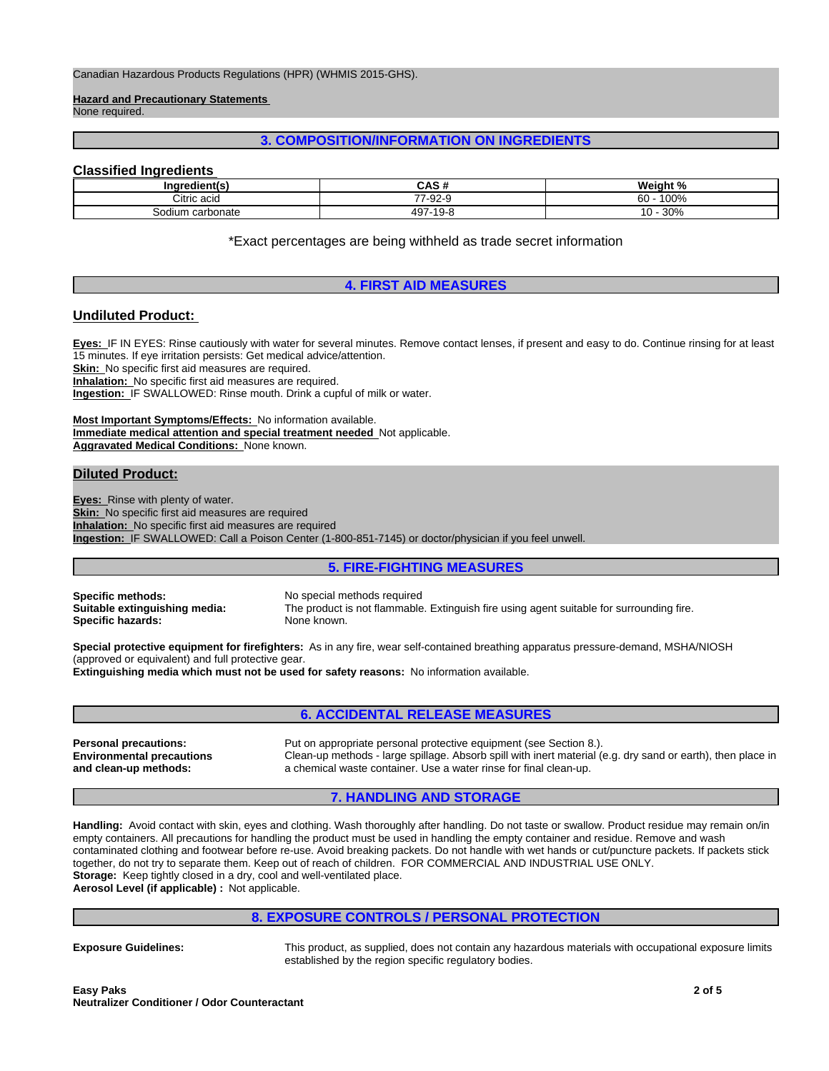Canadian Hazardous Products Regulations (HPR) (WHMIS 2015-GHS).

**Hazard and Precautionary Statements**  None required.

# **3. COMPOSITION/INFORMATION ON INGREDIENTS**

# **Classified Ingredients**

| <b>Ingredientls</b> | $\sim$ $\sim$ $\sim$<br>ษาว ข | Weight.<br>$\cdot$ $\cdot$<br>- 70 |
|---------------------|-------------------------------|------------------------------------|
| Citric acid         | 7-92-9<br>--                  | 100%<br>60                         |
| Sodium carbonate    | 497<br>ع−19 7                 | 200<br><b>JU7</b>                  |

\*Exact percentages are being withheld as trade secret information

# **4. FIRST AID MEASURES**

# **Undiluted Product:**

**Eyes:** IF IN EYES: Rinse cautiously with water for several minutes. Remove contact lenses, if present and easy to do. Continue rinsing for at least 15 minutes. If eye irritation persists: Get medical advice/attention.

**Skin:** No specific first aid measures are required.

**Inhalation:** No specific first aid measures are required.

**Ingestion:** IF SWALLOWED: Rinse mouth. Drink a cupful of milk or water.

**Most Important Symptoms/Effects:** No information available. **Immediate medical attention and special treatment needed** Not applicable. **Aggravated Medical Conditions:** None known.

# **Diluted Product:**

**Eyes:** Rinse with plenty of water. **Skin:** No specific first aid measures are required **Inhalation:** No specific first aid measures are required **Ingestion:** IF SWALLOWED: Call a Poison Center (1-800-851-7145) or doctor/physician if you feel unwell.

## **5. FIRE-FIGHTING MEASURES**

**Specific methods:** No special methods required<br> **Suitable extinguishing media:** The product is not flammable **Specific hazards:** None known.

The product is not flammable. Extinguish fire using agent suitable for surrounding fire.

**Special protective equipment for firefighters:** As in any fire, wear self-contained breathing apparatus pressure-demand, MSHA/NIOSH (approved or equivalent) and full protective gear.

**Extinguishing media which must not be used for safety reasons:** No information available.

# **6. ACCIDENTAL RELEASE MEASURES**

**Environmental precautions and clean-up methods:**

**Personal precautions:** Put on appropriate personal protective equipment (see Section 8.). Clean-up methods - large spillage. Absorb spill with inert material (e.g. dry sand or earth), then place in a chemical waste container. Use a water rinse for final clean-up.

# **7. HANDLING AND STORAGE**

**Handling:** Avoid contact with skin, eyes and clothing. Wash thoroughly after handling. Do not taste or swallow. Product residue may remain on/in empty containers. All precautions for handling the product must be used in handling the empty container and residue. Remove and wash contaminated clothing and footwear before re-use. Avoid breaking packets. Do not handle with wet hands or cut/puncture packets. If packets stick together, do not try to separate them. Keep out of reach of children. FOR COMMERCIAL AND INDUSTRIAL USE ONLY. **Storage:** Keep tightly closed in a dry, cool and well-ventilated place.

**Aerosol Level (if applicable) :** Not applicable.

## **8. EXPOSURE CONTROLS / PERSONAL PROTECTION**

**Exposure Guidelines:** This product, as supplied, does not contain any hazardous materials with occupational exposure limits established by the region specific regulatory bodies.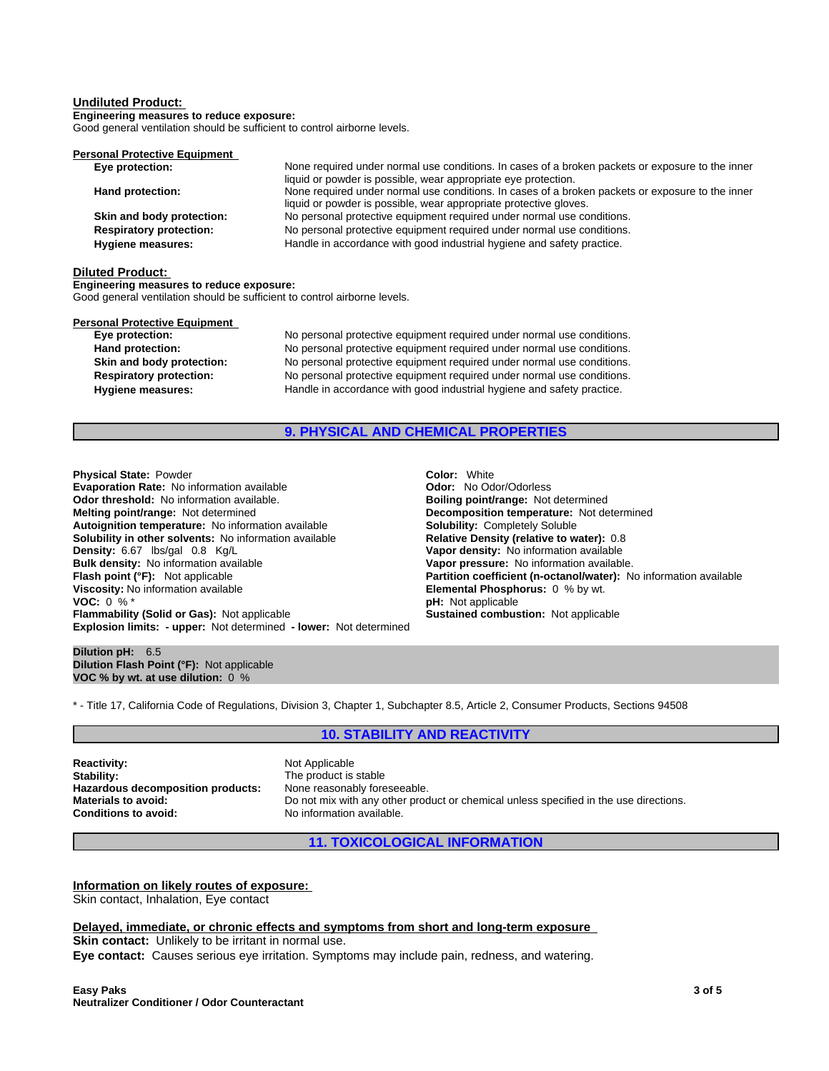#### **Undiluted Product:**

**Engineering measures to reduce exposure:** Good general ventilation should be sufficient to control airborne levels.

**Personal Protective Equipment** 

| Eye protection:                | None required under normal use conditions. In cases of a broken packets or exposure to the inner |
|--------------------------------|--------------------------------------------------------------------------------------------------|
|                                | liquid or powder is possible, wear appropriate eye protection.                                   |
| Hand protection:               | None required under normal use conditions. In cases of a broken packets or exposure to the inner |
|                                | liquid or powder is possible, wear appropriate protective gloves.                                |
| Skin and body protection:      | No personal protective equipment required under normal use conditions.                           |
| <b>Respiratory protection:</b> | No personal protective equipment required under normal use conditions.                           |
| Hygiene measures:              | Handle in accordance with good industrial hygiene and safety practice.                           |

#### **Diluted Product:**

**Engineering measures to reduce exposure:**

Good general ventilation should be sufficient to control airborne levels.

| Eye protection:                | No personal protective equipment required under normal use conditions. |  |  |
|--------------------------------|------------------------------------------------------------------------|--|--|
| Hand protection:               | No personal protective equipment required under normal use conditions. |  |  |
| Skin and body protection:      | No personal protective equipment required under normal use conditions. |  |  |
| <b>Respiratory protection:</b> | No personal protective equipment required under normal use conditions. |  |  |
| <b>Hygiene measures:</b>       | Handle in accordance with good industrial hygiene and safety practice. |  |  |

# **9. PHYSICAL AND CHEMICAL PROPERTIES**

**Explosion limits: - upper:** Not determined **- lower:** Not determined **Physical State:** Powder **Coloring Color:** Color: White **Color:** Color: White **Color: Color: Color: Color: Color: Color: Color: Color: Color: Color: Color: Color: Color: Color: Color: Color: Evaporation Rate:** No information available **Concernantial Codor:** No Odor/Odorless<br> **Odor threshold:** No information available. **Concernantial Bolling point/range:** Not determined **Odor threshold:** No information available. **Melting point/range:** Not determined<br> **Autoignition temperature:** No information available<br> **Solubility:** Completely Soluble **Autoignition temperature:** No information available **Solubility in other solvents:** No information available **Relative Density (relative to water):** 0.8 **Density: 6.67** Ibs/gal 0.8 Kg/L **Density: 8.67** Ibs/gal 0.8 Kg/L **Bulk density:** No information available **Vapor pressure:** No information available. **Viscosity:** No information available **Elemental Phosphorus:** 0 % by wt.<br>**VOC:** 0 % \*<br>**PH:** Not applicable **Flammability (Solid or Gas):** Not applicable **Sustained combustion:** Not applicable

**Vapor density:** No information available **Partition coefficient (n-octanol/water):** No information available **pH:** Not applicable

#### **Dilution pH:** 6.5 **Dilution Flash Point (°F):** Not applicable **VOC % by wt. at use dilution:** 0 %

\* - Title 17, California Code of Regulations, Division 3, Chapter 1, Subchapter 8.5, Article 2, Consumer Products, Sections 94508

### **10. STABILITY AND REACTIVITY**

**Reactivity:** Not Applicable Stability: Not Applicable Stability: **Hazardous decomposition products:** None reasonably foreseeable.<br>**Materials to avoid:** Do not mix with any other proc **Conditions to avoid:** No information available.

The product is stable Do not mix with any other product or chemical unless specified in the use directions.

#### **11. TOXICOLOGICAL INFORMATION**

**Information on likely routes of exposure:** Skin contact, Inhalation, Eye contact

#### **Delayed, immediate, or chronic effects and symptoms from short and long-term exposure**

**Skin contact:** Unlikely to be irritant in normal use. **Eye contact:** Causes serious eye irritation. Symptoms may include pain, redness, and watering.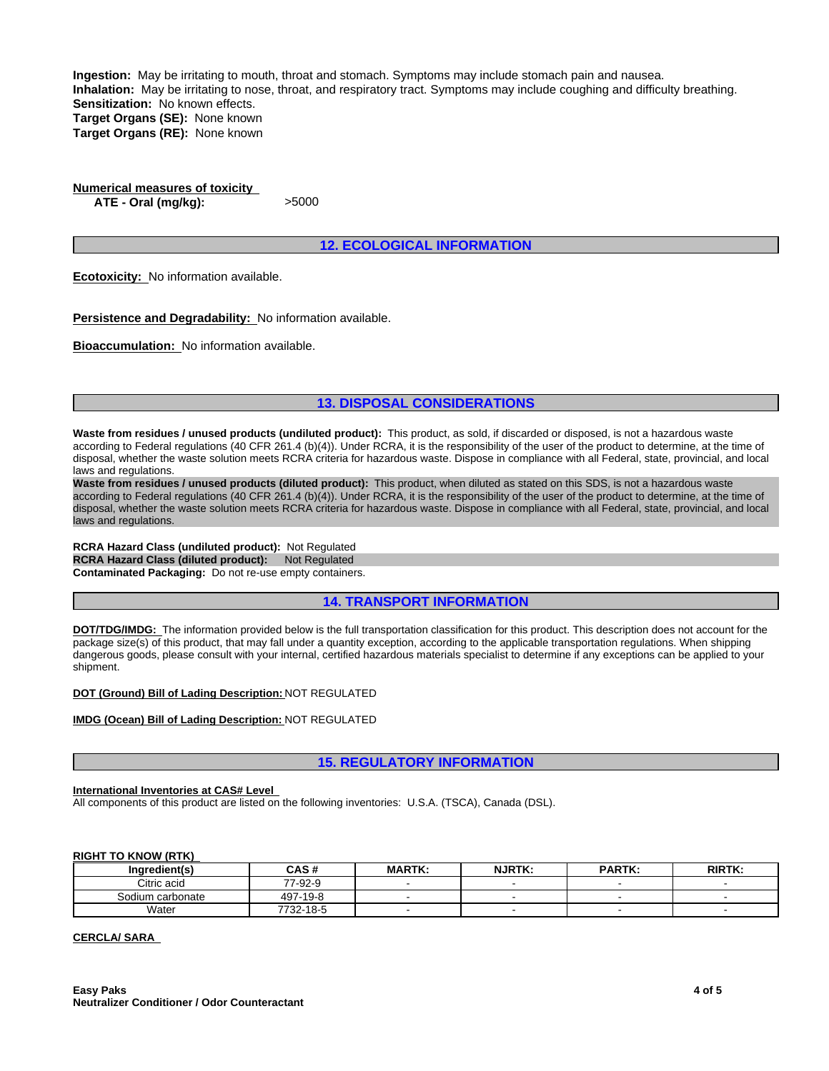**Ingestion:** May be irritating to mouth, throat and stomach. Symptoms may include stomach pain and nausea. **Inhalation:** May be irritating to nose, throat, and respiratory tract. Symptoms may include coughing and difficulty breathing. **Sensitization:** No known effects. **Target Organs (SE):** None known **Target Organs (RE):** None known

**Numerical measures of toxicity ATE - Oral (mg/kg):** >5000

## **12. ECOLOGICAL INFORMATION**

**Ecotoxicity:** No information available.

**Persistence and Degradability:** No information available.

**Bioaccumulation:** No information available.

**13. DISPOSAL CONSIDERATIONS**

**Waste from residues / unused products (undiluted product):** This product, as sold, if discarded or disposed, is not a hazardous waste according to Federal regulations (40 CFR 261.4 (b)(4)). Under RCRA, it is the responsibility of the user of the product to determine, at the time of disposal, whether the waste solution meets RCRA criteria for hazardous waste. Dispose in compliance with all Federal, state, provincial, and local laws and regulations.

**Waste from residues / unused products (diluted product):** This product, when diluted as stated on this SDS, is not a hazardous waste according to Federal regulations (40 CFR 261.4 (b)(4)). Under RCRA, it is the responsibility of the user of the product to determine, at the time of disposal, whether the waste solution meets RCRA criteria for hazardous waste. Dispose in compliance with all Federal, state, provincial, and local laws and regulations.

**RCRA Hazard Class (undiluted product):** Not Regulated **RCRA Hazard Class (diluted product): Not Regulated Contaminated Packaging:** Do not re-use empty containers.

**14. TRANSPORT INFORMATION**

**DOT/TDG/IMDG:** The information provided below is the full transportation classification for this product. This description does not account for the package size(s) of this product, that may fall under a quantity exception, according to the applicable transportation regulations. When shipping dangerous goods, please consult with your internal, certified hazardous materials specialist to determine if any exceptions can be applied to your shipment.

**DOT (Ground) Bill of Lading Description:** NOT REGULATED

**IMDG (Ocean) Bill of Lading Description:** NOT REGULATED

**15. REGULATORY INFORMATION**

#### **International Inventories at CAS# Level**

All components of this product are listed on the following inventories: U.S.A. (TSCA), Canada (DSL).

#### **RIGHT TO KNOW (RTK)**

| Ingredient(s)    | CAS #     | <b>MARTK:</b> | <b>NJRTK:</b> | <b>PARTK:</b> | <b>RIRTK:</b> |
|------------------|-----------|---------------|---------------|---------------|---------------|
| Citric acid      | 77-92-9   |               |               |               |               |
| Sodium carbonate | 497-19-8  |               |               |               |               |
| Water            | 7732-18-5 |               |               |               |               |

### **CERCLA/ SARA**